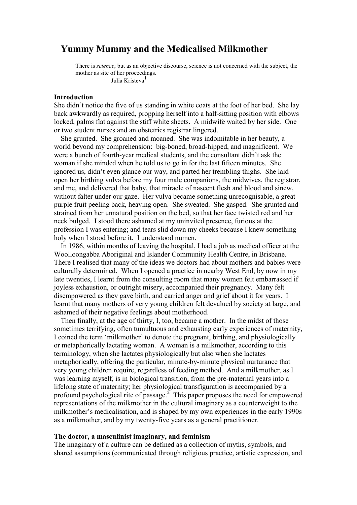# **Yummy Mummy and the Medicalised Milkmother**

There is *science*; but as an objective discourse, science is not concerned with the subject, the mother as site of her proceedings. Julia Kristeva<sup>1</sup>

## **Introduction**

She didn't notice the five of us standing in white coats at the foot of her bed. She lay back awkwardly as required, propping herself into a half-sitting position with elbows locked, palms flat against the stiff white sheets. A midwife waited by her side. One or two student nurses and an obstetrics registrar lingered.

She grunted. She groaned and moaned. She was indomitable in her beauty, a world beyond my comprehension: big-boned, broad-hipped, and magnificent. We were a bunch of fourth-year medical students, and the consultant didn't ask the woman if she minded when he told us to go in for the last fifteen minutes. She ignored us, didn't even glance our way, and parted her trembling thighs. She laid open her birthing vulva before my four male companions, the midwives, the registrar, and me, and delivered that baby, that miracle of nascent flesh and blood and sinew, without falter under our gaze. Her vulva became something unrecognisable, a great purple fruit peeling back, heaving open. She sweated. She gasped. She grunted and strained from her unnatural position on the bed, so that her face twisted red and her neck bulged. I stood there ashamed at my uninvited presence, furious at the profession I was entering; and tears slid down my cheeks because I knew something holy when I stood before it. I understood numen.

In 1986, within months of leaving the hospital, I had a job as medical officer at the Woolloongabba Aboriginal and Islander Community Health Centre, in Brisbane. There I realised that many of the ideas we doctors had about mothers and babies were culturally determined. When I opened a practice in nearby West End, by now in my late twenties, I learnt from the consulting room that many women felt embarrassed if joyless exhaustion, or outright misery, accompanied their pregnancy. Many felt disempowered as they gave birth, and carried anger and grief about it for years. I learnt that many mothers of very young children felt devalued by society at large, and ashamed of their negative feelings about motherhood.

Then finally, at the age of thirty, I, too, became a mother. In the midst of those sometimes terrifying, often tumultuous and exhausting early experiences of maternity, I coined the term 'milkmother' to denote the pregnant, birthing, and physiologically or metaphorically lactating woman. A woman is a milkmother, according to this terminology, when she lactates physiologically but also when she lactates metaphorically, offering the particular, minute-by-minute physical nurturance that very young children require, regardless of feeding method. And a milkmother, as I was learning myself, is in biological transition, from the pre-maternal years into a lifelong state of maternity; her physiological transfiguration is accompanied by a profound psychological rite of passage. $2$  This paper proposes the need for empowered representations of the milkmother in the cultural imaginary as a counterweight to the milkmother's medicalisation, and is shaped by my own experiences in the early 1990s as a milkmother, and by my twenty-five years as a general practitioner.

## **The doctor, a masculinist imaginary, and feminism**

The imaginary of a culture can be defined as a collection of myths, symbols, and shared assumptions (communicated through religious practice, artistic expression, and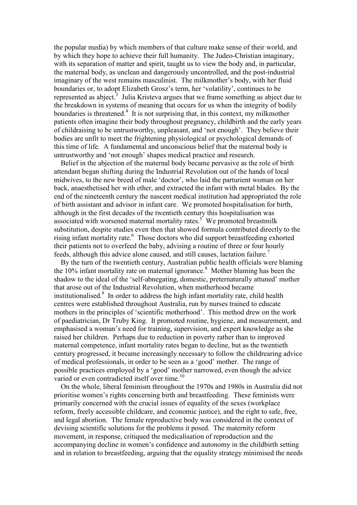the popular media) by which members of that culture make sense of their world, and by which they hope to achieve their full humanity. The Judeo-Christian imaginary, with its separation of matter and spirit, taught us to view the body and, in particular, the maternal body, as unclean and dangerously uncontrolled, and the post-industrial imaginary of the west remains masculinist. The milkmother's body, with her fluid boundaries or, to adopt Elizabeth Grosz's term, her 'volatility', continues to be represented as abject.<sup>3</sup> Julia Kristeva argues that we frame something as abject due to the breakdown in systems of meaning that occurs for us when the integrity of bodily boundaries is threatened.<sup>4</sup> It is not surprising that, in this context, my milkmother patients often imagine their body throughout pregnancy, childbirth and the early years of childraising to be untrustworthy, unpleasant, and 'not enough'. They believe their bodies are unfit to meet the frightening physiological or psychological demands of this time of life. A fundamental and unconscious belief that the maternal body is untrustworthy and 'not enough' shapes medical practice and research.

Belief in the abjection of the maternal body became pervasive as the role of birth attendant began shifting during the Industrial Revolution out of the hands of local midwives, to the new breed of male 'doctor', who laid the parturient woman on her back, anaesthetised her with ether, and extracted the infant with metal blades. By the end of the nineteenth century the nascent medical institution had appropriated the role of birth assistant and advisor in infant care. We promoted hospitalisation for birth, although in the first decades of the twentieth century this hospitalisation was associated with worsened maternal mortality rates. $5$  We promoted breastmilk substitution, despite studies even then that showed formula contributed directly to the rising infant mortality rate.<sup>6</sup> Those doctors who did support breastfeeding exhorted their patients not to overfeed the baby, advising a routine of three or four hourly feeds, although this advice alone caused, and still causes, lactation failure.<sup>7</sup>

By the turn of the twentieth century, Australian public health officials were blaming the 10% infant mortality rate on maternal ignorance. 8 Mother blaming has been the shadow to the ideal of the 'self-abnegating, domestic, preternaturally attuned' mother that arose out of the Industrial Revolution, when motherhood became institutionalised.<sup>9</sup> In order to address the high infant mortality rate, child health centres were established throughout Australia, run by nurses trained to educate mothers in the principles of 'scientific motherhood'. This method drew on the work of paediatrician, Dr Truby King. It promoted routine, hygiene, and measurement, and emphasised a woman's need for training, supervision, and expert knowledge as she raised her children. Perhaps due to reduction in poverty rather than to improved maternal competence, infant mortality rates began to decline, but as the twentieth century progressed, it became increasingly necessary to follow the childrearing advice of medical professionals, in order to be seen as a 'good' mother. The range of possible practices employed by a 'good' mother narrowed, even though the advice varied or even contradicted itself over time.<sup>10</sup>

On the whole, liberal feminism throughout the 1970s and 1980s in Australia did not prioritise women's rights concerning birth and breastfeeding. These feminists were primarily concerned with the crucial issues of equality of the sexes (workplace reform, freely accessible childcare, and economic justice), and the right to safe, free, and legal abortion. The female reproductive body was considered in the context of devising scientific solutions for the problems it posed. The maternity reform movement, in response, critiqued the medicalisation of reproduction and the accompanying decline in women's confidence and autonomy in the childbirth setting and in relation to breastfeeding, arguing that the equality strategy minimised the needs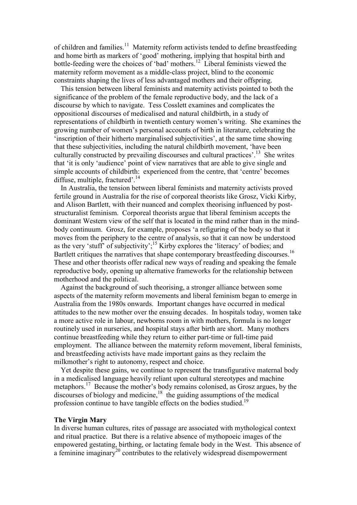of children and families.<sup>11</sup> Maternity reform activists tended to define breastfeeding and home birth as markers of 'good' mothering, implying that hospital birth and bottle-feeding were the choices of 'bad' mothers.<sup>12</sup> Liberal feminists viewed the maternity reform movement as a middle-class project, blind to the economic constraints shaping the lives of less advantaged mothers and their offspring.

This tension between liberal feminists and maternity activists pointed to both the significance of the problem of the female reproductive body, and the lack of a discourse by which to navigate. Tess Cosslett examines and complicates the oppositional discourses of medicalised and natural childbirth, in a study of representations of childbirth in twentieth century women's writing. She examines the growing number of women's personal accounts of birth in literature, celebrating the 'inscription of their hitherto marginalised subjectivities', at the same time showing that these subjectivities, including the natural childbirth movement, 'have been culturally constructed by prevailing discourses and cultural practices'.<sup>13</sup> She writes that 'it is only 'audience' point of view narratives that are able to give single and simple accounts of childbirth: experienced from the centre, that 'centre' becomes diffuse, multiple, fractured'.<sup>14</sup>

In Australia, the tension between liberal feminists and maternity activists proved fertile ground in Australia for the rise of corporeal theorists like Grosz, Vicki Kirby, and Alison Bartlett, with their nuanced and complex theorising influenced by poststructuralist feminism. Corporeal theorists argue that liberal feminism accepts the dominant Western view of the self that is located in the mind rather than in the mindbody continuum. Grosz, for example, proposes 'a refiguring of the body so that it moves from the periphery to the centre of analysis, so that it can now be understood as the very 'stuff' of subjectivity';<sup>15</sup> Kirby explores the 'literacy' of bodies; and Bartlett critiques the narratives that shape contemporary breastfeeding discourses.<sup>16</sup> These and other theorists offer radical new ways of reading and speaking the female reproductive body, opening up alternative frameworks for the relationship between motherhood and the political.

Against the background of such theorising, a stronger alliance between some aspects of the maternity reform movements and liberal feminism began to emerge in Australia from the 1980s onwards. Important changes have occurred in medical attitudes to the new mother over the ensuing decades. In hospitals today, women take a more active role in labour, newborns room in with mothers, formula is no longer routinely used in nurseries, and hospital stays after birth are short. Many mothers continue breastfeeding while they return to either part-time or full-time paid employment. The alliance between the maternity reform movement, liberal feminists, and breastfeeding activists have made important gains as they reclaim the milkmother's right to autonomy, respect and choice.

Yet despite these gains, we continue to represent the transfigurative maternal body in a medicalised language heavily reliant upon cultural stereotypes and machine metaphors.<sup>17</sup> Because the mother's body remains colonised, as Grosz argues, by the discourses of biology and medicine, $^{18}$  the guiding assumptions of the medical profession continue to have tangible effects on the bodies studied.<sup>19</sup>

#### **The Virgin Mary**

In diverse human cultures, rites of passage are associated with mythological context and ritual practice. But there is a relative absence of mythopoeic images of the empowered gestating, birthing, or lactating female body in the West. This absence of a feminine imaginary<sup>20</sup> contributes to the relatively widespread disempowerment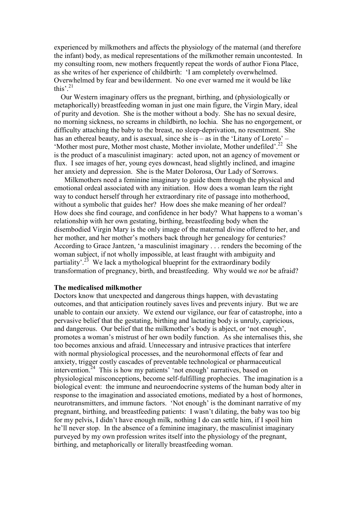experienced by milkmothers and affects the physiology of the maternal (and therefore the infant) body, as medical representations of the milkmother remain uncontested. In my consulting room, new mothers frequently repeat the words of author Fiona Place, as she writes of her experience of childbirth: 'I am completely overwhelmed. Overwhelmed by fear and bewilderment. No one ever warned me it would be like this'. $^{21}$ 

Our Western imaginary offers us the pregnant, birthing, and (physiologically or metaphorically) breastfeeding woman in just one main figure, the Virgin Mary, ideal of purity and devotion. She is the mother without a body. She has no sexual desire, no morning sickness, no screams in childbirth, no lochia. She has no engorgement, or difficulty attaching the baby to the breast, no sleep-deprivation, no resentment. She has an ethereal beauty, and is asexual, since she is – as in the 'Litany of Loreto' – 'Mother most pure, Mother most chaste, Mother inviolate, Mother undefiled'.<sup>22</sup> She is the product of a masculinist imaginary: acted upon, not an agency of movement or flux. I see images of her, young eyes downcast, head slightly inclined, and imagine her anxiety and depression. She is the Mater Dolorosa, Our Lady of Sorrows.

 Milkmothers need a feminine imaginary to guide them through the physical and emotional ordeal associated with any initiation. How does a woman learn the right way to conduct herself through her extraordinary rite of passage into motherhood, without a symbolic that guides her? How does she make meaning of her ordeal? How does she find courage, and confidence in her body? What happens to a woman's relationship with her own gestating, birthing, breastfeeding body when the disembodied Virgin Mary is the only image of the maternal divine offered to her, and her mother, and her mother's mothers back through her genealogy for centuries? According to Grace Jantzen, 'a masculinist imaginary . . . renders the becoming of the woman subject, if not wholly impossible, at least fraught with ambiguity and partiality'.<sup>23</sup> We lack a mythological blueprint for the extraordinary bodily transformation of pregnancy, birth, and breastfeeding. Why would we *not* be afraid?

# **The medicalised milkmother**

Doctors know that unexpected and dangerous things happen, with devastating outcomes, and that anticipation routinely saves lives and prevents injury. But we are unable to contain our anxiety. We extend our vigilance, our fear of catastrophe, into a pervasive belief that the gestating, birthing and lactating body is unruly, capricious, and dangerous. Our belief that the milkmother's body is abject, or 'not enough', promotes a woman's mistrust of her own bodily function. As she internalises this, she too becomes anxious and afraid. Unnecessary and intrusive practices that interfere with normal physiological processes, and the neurohormonal effects of fear and anxiety, trigger costly cascades of preventable technological or pharmaceutical intervention.<sup>24</sup> This is how my patients' 'not enough' narratives, based on physiological misconceptions, become self-fulfilling prophecies. The imagination is a biological event: the immune and neuroendocrine systems of the human body alter in response to the imagination and associated emotions, mediated by a host of hormones, neurotransmitters, and immune factors. 'Not enough' is the dominant narrative of my pregnant, birthing, and breastfeeding patients: I wasn't dilating, the baby was too big for my pelvis, I didn't have enough milk, nothing I do can settle him, if I spoil him he'll never stop. In the absence of a feminine imaginary, the masculinist imaginary purveyed by my own profession writes itself into the physiology of the pregnant, birthing, and metaphorically or literally breastfeeding woman.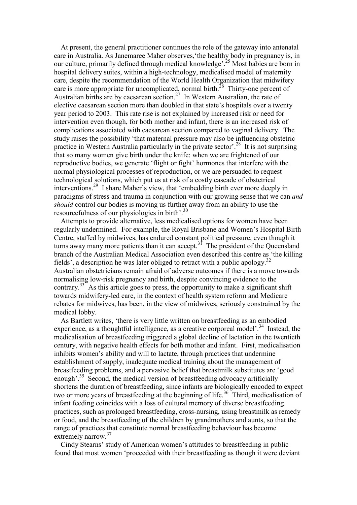At present, the general practitioner continues the role of the gateway into antenatal care in Australia. As Janemaree Maher observes,'the healthy body in pregnancy is, in our culture, primarily defined through medical knowledge'.<sup>25</sup> Most babies are born in hospital delivery suites, within a high-technology, medicalised model of maternity care, despite the recommendation of the World Health Organization that midwifery care is more appropriate for uncomplicated, normal birth.<sup>26</sup> Thirty-one percent of Australian births are by caesarean section.<sup>27</sup> In Western Australian, the rate of elective caesarean section more than doubled in that state's hospitals over a twenty year period to 2003. This rate rise is not explained by increased risk or need for intervention even though, for both mother and infant, there is an increased risk of complications associated with caesarean section compared to vaginal delivery. The study raises the possibility 'that maternal pressure may also be influencing obstetric practice in Western Australia particularly in the private sector'.<sup>28</sup> It is not surprising that so many women give birth under the knife: when we are frightened of our reproductive bodies, we generate 'flight or fight' hormones that interfere with the normal physiological processes of reproduction, or we are persuaded to request technological solutions, which put us at risk of a costly cascade of obstetrical interventions.<sup>29</sup> I share Maher's view, that 'embedding birth ever more deeply in paradigms of stress and trauma in conjunction with our growing sense that we can *and should* control our bodies is moving us further away from an ability to use the resourcefulness of our physiologies in birth'.<sup>30</sup>

Attempts to provide alternative, less medicalised options for women have been regularly undermined. For example, the Royal Brisbane and Women's Hospital Birth Centre, staffed by midwives, has endured constant political pressure, even though it turns away many more patients than it can accept.<sup>31</sup> The president of the Queensland branch of the Australian Medical Association even described this centre as 'the killing fields', a description he was later obliged to retract with a public apology.<sup>32</sup> Australian obstetricians remain afraid of adverse outcomes if there is a move towards normalising low-risk pregnancy and birth, despite convincing evidence to the contrary.<sup>33</sup> As this article goes to press, the opportunity to make a significant shift towards midwifery-led care, in the context of health system reform and Medicare rebates for midwives, has been, in the view of midwives, seriously constrained by the medical lobby.

As Bartlett writes, 'there is very little written on breastfeeding as an embodied experience, as a thoughtful intelligence, as a creative corporeal model'.<sup>34</sup> Instead, the medicalisation of breastfeeding triggered a global decline of lactation in the twentieth century, with negative health effects for both mother and infant. First, medicalisation inhibits women's ability and will to lactate, through practices that undermine establishment of supply, inadequate medical training about the management of breastfeeding problems, and a pervasive belief that breastmilk substitutes are 'good enough'.<sup>35</sup> Second, the medical version of breastfeeding advocacy artificially shortens the duration of breastfeeding, since infants are biologically encoded to expect two or more years of breastfeeding at the beginning of life.<sup>36</sup> Third, medicalisation of infant feeding coincides with a loss of cultural memory of diverse breastfeeding practices, such as prolonged breastfeeding, cross-nursing, using breastmilk as remedy or food, and the breastfeeding of the children by grandmothers and aunts, so that the range of practices that constitute normal breastfeeding behaviour has become extremely narrow.<sup>37</sup>

Cindy Stearns' study of American women's attitudes to breastfeeding in public found that most women 'proceeded with their breastfeeding as though it were deviant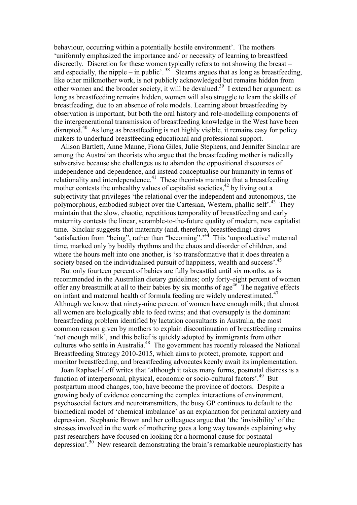behaviour, occurring within a potentially hostile environment'. The mothers 'uniformly emphasized the importance and/ or necessity of learning to breastfeed discreetly. Discretion for these women typically refers to not showing the breast *–*  and especially, the nipple – in public'.<sup>38</sup> Stearns argues that as long as breastfeeding, like other milkmother work, is not publicly acknowledged but remains hidden from other women and the broader society, it will be devalued.<sup>39</sup> I extend her argument: as long as breastfeeding remains hidden, women will also struggle to learn the skills of breastfeeding, due to an absence of role models. Learning about breastfeeding by observation is important, but both the oral history and role-modelling components of the intergenerational transmission of breastfeeding knowledge in the West have been disrupted.<sup>40</sup> As long as breastfeeding is not highly visible, it remains easy for policy makers to underfund breastfeeding educational and professional support.

Alison Bartlett, Anne Manne, Fiona Giles, Julie Stephens, and Jennifer Sinclair are among the Australian theorists who argue that the breastfeeding mother is radically subversive because she challenges us to abandon the oppositional discourses of independence and dependence, and instead conceptualise our humanity in terms of relationality and interdependence.<sup>41</sup> These theorists maintain that a breastfeeding mother contests the unhealthy values of capitalist societies,  $42$  by living out a subjectivity that privileges 'the relational over the independent and autonomous, the polymorphous, embodied subject over the Cartesian, Western, phallic self<sup>', 43</sup> They maintain that the slow, chaotic, repetitious temporality of breastfeeding and early maternity contests the linear, scramble-to-the-future quality of modern, new capitalist time. Sinclair suggests that maternity (and, therefore, breastfeeding) draws 'satisfaction from "being", rather than "becoming".<sup>44</sup> This 'unproductive' maternal time, marked only by bodily rhythms and the chaos and disorder of children, and where the hours melt into one another, is 'so transformative that it does threaten a society based on the individualised pursuit of happiness, wealth and success'.<sup>45</sup>

But only fourteen percent of babies are fully breastfed until six months, as is recommended in the Australian dietary guidelines; only forty-eight percent of women offer any breastmilk at all to their babies by six months of  $age^{46}$ . The negative effects on infant and maternal health of formula feeding are widely underestimated.<sup>47</sup> Although we know that ninety-nine percent of women have enough milk; that almost all women are biologically able to feed twins; and that oversupply is the dominant breastfeeding problem identified by lactation consultants in Australia, the most common reason given by mothers to explain discontinuation of breastfeeding remains 'not enough milk', and this belief is quickly adopted by immigrants from other cultures who settle in Australia.<sup>48</sup> The government has recently released the National Breastfeeding Strategy 2010-2015, which aims to protect, promote, support and monitor breastfeeding, and breastfeeding advocates keenly await its implementation.

Joan Raphael-Leff writes that 'although it takes many forms, postnatal distress is a function of interpersonal, physical, economic or socio-cultural factors'.<sup>49</sup> But postpartum mood changes, too, have become the province of doctors. Despite a growing body of evidence concerning the complex interactions of environment, psychosocial factors and neurotransmitters, the busy GP continues to default to the biomedical model of 'chemical imbalance' as an explanation for perinatal anxiety and depression. Stephanie Brown and her colleagues argue that 'the 'invisibility' of the stresses involved in the work of mothering goes a long way towards explaining why past researchers have focused on looking for a hormonal cause for postnatal depression'.<sup>50</sup> New research demonstrating the brain's remarkable neuroplasticity has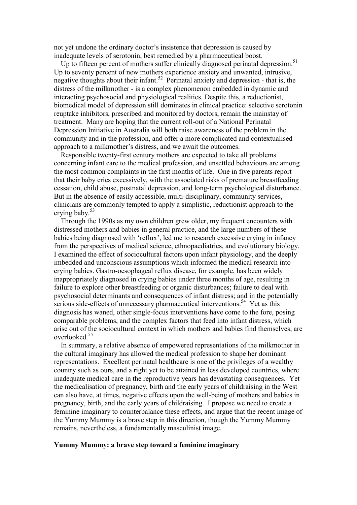not yet undone the ordinary doctor's insistence that depression is caused by inadequate levels of serotonin, best remedied by a pharmaceutical boost.

Up to fifteen percent of mothers suffer clinically diagnosed perinatal depression.<sup>51</sup> Up to seventy percent of new mothers experience anxiety and unwanted, intrusive, negative thoughts about their infant.<sup>52</sup> Perinatal anxiety and depression - that is, the distress of the milkmother - is a complex phenomenon embedded in dynamic and interacting psychosocial and physiological realities. Despite this, a reductionist, biomedical model of depression still dominates in clinical practice: selective serotonin reuptake inhibitors, prescribed and monitored by doctors, remain the mainstay of treatment. Many are hoping that the current roll-out of a National Perinatal Depression Initiative in Australia will both raise awareness of the problem in the community and in the profession, and offer a more complicated and contextualised approach to a milkmother's distress, and we await the outcomes.

Responsible twenty-first century mothers are expected to take all problems concerning infant care to the medical profession, and unsettled behaviours are among the most common complaints in the first months of life. One in five parents report that their baby cries excessively, with the associated risks of premature breastfeeding cessation, child abuse, postnatal depression, and long-term psychological disturbance. But in the absence of easily accessible, multi-disciplinary, community services, clinicians are commonly tempted to apply a simplistic, reductionist approach to the crying baby.<sup>53</sup>

Through the 1990s as my own children grew older, my frequent encounters with distressed mothers and babies in general practice, and the large numbers of these babies being diagnosed with 'reflux', led me to research excessive crying in infancy from the perspectives of medical science, ethnopaediatrics, and evolutionary biology. I examined the effect of sociocultural factors upon infant physiology, and the deeply imbedded and unconscious assumptions which informed the medical research into crying babies. Gastro-oesophageal reflux disease, for example, has been widely inappropriately diagnosed in crying babies under three months of age, resulting in failure to explore other breastfeeding or organic disturbances; failure to deal with psychosocial determinants and consequences of infant distress; and in the potentially serious side-effects of unnecessary pharmaceutical interventions.<sup>54</sup> Yet as this diagnosis has waned, other single-focus interventions have come to the fore, posing comparable problems, and the complex factors that feed into infant distress, which arise out of the sociocultural context in which mothers and babies find themselves, are overlooked.<sup>55</sup>

In summary, a relative absence of empowered representations of the milkmother in the cultural imaginary has allowed the medical profession to shape her dominant representations. Excellent perinatal healthcare is one of the privileges of a wealthy country such as ours, and a right yet to be attained in less developed countries, where inadequate medical care in the reproductive years has devastating consequences. Yet the medicalisation of pregnancy, birth and the early years of childraising in the West can also have, at times, negative effects upon the well-being of mothers and babies in pregnancy, birth, and the early years of childraising. I propose we need to create a feminine imaginary to counterbalance these effects, and argue that the recent image of the Yummy Mummy is a brave step in this direction, though the Yummy Mummy remains, nevertheless, a fundamentally masculinist image.

# **Yummy Mummy: a brave step toward a feminine imaginary**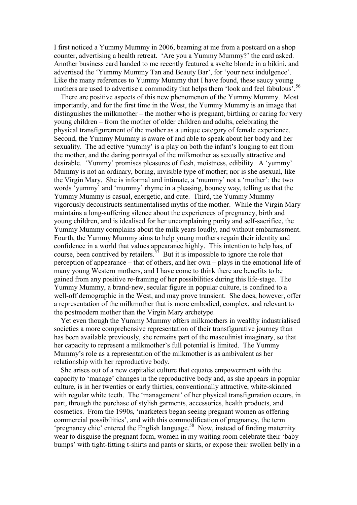I first noticed a Yummy Mummy in 2006, beaming at me from a postcard on a shop counter, advertising a health retreat. 'Are you a Yummy Mummy?' the card asked. Another business card handed to me recently featured a svelte blonde in a bikini, and advertised the 'Yummy Mummy Tan and Beauty Bar', for 'your next indulgence'. Like the many references to Yummy Mummy that I have found, these saucy young mothers are used to advertise a commodity that helps them 'look and feel fabulous'.<sup>56</sup>

There are positive aspects of this new phenomenon of the Yummy Mummy. Most importantly, and for the first time in the West, the Yummy Mummy is an image that distinguishes the milkmother – the mother who is pregnant, birthing or caring for very young children – from the mother of older children and adults, celebrating the physical transfigurement of the mother as a unique category of female experience. Second, the Yummy Mummy is aware of and able to speak about her body and her sexuality. The adjective 'yummy' is a play on both the infant's longing to eat from the mother, and the daring portrayal of the milkmother as sexually attractive and desirable. 'Yummy' promises pleasures of flesh, moistness, edibility. A 'yummy' Mummy is not an ordinary, boring, invisible type of mother; nor is she asexual, like the Virgin Mary. She is informal and intimate, a 'mummy' not a 'mother': the two words 'yummy' and 'mummy' rhyme in a pleasing, bouncy way, telling us that the Yummy Mummy is casual, energetic, and cute. Third, the Yummy Mummy vigorously deconstructs sentimentalised myths of the mother. While the Virgin Mary maintains a long-suffering silence about the experiences of pregnancy, birth and young children, and is idealised for her uncomplaining purity and self-sacrifice, the Yummy Mummy complains about the milk years loudly, and without embarrassment. Fourth, the Yummy Mummy aims to help young mothers regain their identity and confidence in a world that values appearance highly. This intention to help has, of course, been contrived by retailers.<sup> $57$ </sup> But it is impossible to ignore the role that perception of appearance – that of others, and her own – plays in the emotional life of many young Western mothers, and I have come to think there are benefits to be gained from any positive re-framing of her possibilities during this life-stage. The Yummy Mummy, a brand-new, secular figure in popular culture, is confined to a well-off demographic in the West, and may prove transient. She does, however, offer a representation of the milkmother that is more embodied, complex, and relevant to the postmodern mother than the Virgin Mary archetype.

Yet even though the Yummy Mummy offers milkmothers in wealthy industrialised societies a more comprehensive representation of their transfigurative journey than has been available previously, she remains part of the masculinist imaginary, so that her capacity to represent a milkmother's full potential is limited. The Yummy Mummy's role as a representation of the milkmother is as ambivalent as her relationship with her reproductive body.

She arises out of a new capitalist culture that equates empowerment with the capacity to 'manage' changes in the reproductive body and, as she appears in popular culture, is in her twenties or early thirties, conventionally attractive, white-skinned with regular white teeth. The 'management' of her physical transfiguration occurs, in part, through the purchase of stylish garments, accessories, health products, and cosmetics. From the 1990s, 'marketers began seeing pregnant women as offering commercial possibilities', and with this commodification of pregnancy, the term 'pregnancy chic' entered the English language.<sup>58</sup> Now, instead of finding maternity wear to disguise the pregnant form, women in my waiting room celebrate their 'baby bumps' with tight-fitting t-shirts and pants or skirts, or expose their swollen belly in a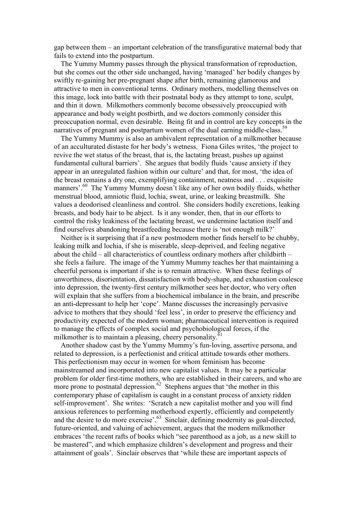gap between them – an important celebration of the transfigurative maternal body that fails to extend into the postpartum.

The Yummy Mummy passes through the physical transformation of reproduction, but she comes out the other side unchanged, having 'managed' her bodily changes by swiftly re-gaining her pre-pregnant shape after birth, remaining glamorous and attractive to men in conventional terms. Ordinary mothers, modelling themselves on this image, lock into battle with their postnatal body as they attempt to tone, sculpt, and thin it down. Milkmothers commonly become obsessively preoccupied with appearance and body weight postbirth, and we doctors commonly consider this preoccupation normal, even desirable. Being fit and in control are key concepts in the narratives of pregnant and postpartum women of the dual earning middle-class.<sup>59</sup>

The Yummy Mummy is also an ambivalent representation of a milkmother because of an acculturated distaste for her body's wetness. Fiona Giles writes, 'the project to revive the wet status of the breast, that is, the lactating breast, pushes up against fundamental cultural barriers'. She argues that bodily fluids 'cause anxiety if they appear in an unregulated fashion within our culture' and that, for most, 'the idea of the breast remains a dry one, exemplifying containment, neatness and . . . exquisite manners'.<sup>60</sup> The Yummy Mummy doesn't like any of her own bodily fluids, whether menstrual blood, amniotic fluid, lochia, sweat, urine, or leaking breastmilk. She values a deodorised cleanliness and control. She considers bodily excretions, leaking breasts, and body hair to be abject. Is it any wonder, then, that in our efforts to control the risky leakiness of the lactating breast, we undermine lactation itself and find ourselves abandoning breastfeeding because there is 'not enough milk?'

Neither is it surprising that if a new postmodern mother finds herself to be chubby, leaking milk and lochia, if she is miserable, sleep-deprived, and feeling negative about the child – all characteristics of countless ordinary mothers after childbirth – she feels a failure. The image of the Yummy Mummy teaches her that maintaining a cheerful persona is important if she is to remain attractive. When these feelings of unworthiness, disorientation, dissatisfaction with body-shape, and exhaustion coalesce into depression, the twenty-first century milkmother sees her doctor, who very often will explain that she suffers from a biochemical imbalance in the brain, and prescribe an anti-depressant to help her 'cope'. Manne discusses the increasingly pervasive advice to mothers that they should 'feel less', in order to preserve the efficiency and productivity expected of the modern woman; pharmaceutical intervention is required to manage the effects of complex social and psychobiological forces, if the milkmother is to maintain a pleasing, cheery personality. $61$ 

Another shadow cast by the Yummy Mummy's fun-loving, assertive persona, and related to depression, is a perfectionist and critical attitude towards other mothers. This perfectionism may occur in women for whom feminism has become mainstreamed and incorporated into new capitalist values. It may be a particular problem for older first-time mothers, who are established in their careers, and who are more prone to postnatal depression.<sup> $62$ </sup> Stephens argues that 'the mother in this contemporary phase of capitalism is caught in a constant process of anxiety ridden self-improvement'. She writes: 'Scratch a new capitalist mother and you will find anxious references to performing motherhood expertly, efficiently and competently and the desire to do more exercise'.<sup>63</sup> Sinclair, defining modernity as goal-directed, future-oriented, and valuing of achievement, argues that the modern milkmother embraces 'the recent rafts of books which "see parenthood as a job, as a new skill to be mastered", and which emphasize children's development and progress and their attainment of goals'. Sinclair observes that 'while these are important aspects of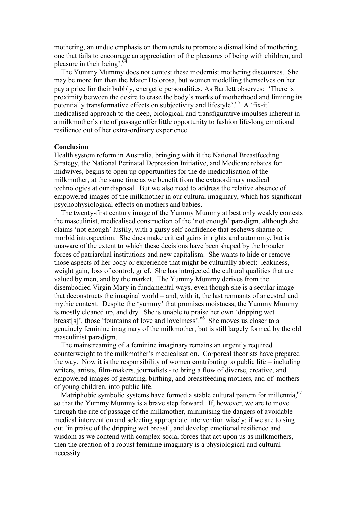mothering, an undue emphasis on them tends to promote a dismal kind of mothering, one that fails to encourage an appreciation of the pleasures of being with children, and pleasure in their being'.<sup>64</sup>

The Yummy Mummy does not contest these modernist mothering discourses. She may be more fun than the Mater Dolorosa, but women modelling themselves on her pay a price for their bubbly, energetic personalities. As Bartlett observes: 'There is proximity between the desire to erase the body's marks of motherhood and limiting its potentially transformative effects on subjectivity and lifestyle'.<sup>65</sup> A 'fix-it' medicalised approach to the deep, biological, and transfigurative impulses inherent in a milkmother's rite of passage offer little opportunity to fashion life-long emotional resilience out of her extra-ordinary experience.

#### **Conclusion**

Health system reform in Australia, bringing with it the National Breastfeeding Strategy, the National Perinatal Depression Initiative, and Medicare rebates for midwives, begins to open up opportunities for the de-medicalisation of the milkmother, at the same time as we benefit from the extraordinary medical technologies at our disposal. But we also need to address the relative absence of empowered images of the milkmother in our cultural imaginary, which has significant psychophysiological effects on mothers and babies.

The twenty-first century image of the Yummy Mummy at best only weakly contests the masculinist, medicalised construction of the 'not enough' paradigm, although she claims 'not enough' lustily, with a gutsy self-confidence that eschews shame or morbid introspection. She does make critical gains in rights and autonomy, but is unaware of the extent to which these decisions have been shaped by the broader forces of patriarchal institutions and new capitalism. She wants to hide or remove those aspects of her body or experience that might be culturally abject: leakiness, weight gain, loss of control, grief. She has introjected the cultural qualities that are valued by men, and by the market. The Yummy Mummy derives from the disembodied Virgin Mary in fundamental ways, even though she is a secular image that deconstructs the imaginal world – and, with it, the last remnants of ancestral and mythic context. Despite the 'yummy' that promises moistness, the Yummy Mummy is mostly cleaned up, and dry. She is unable to praise her own 'dripping wet breast[s]', those 'fountains of love and loveliness'.<sup>66</sup> She moves us closer to a genuinely feminine imaginary of the milkmother, but is still largely formed by the old masculinist paradigm.

The mainstreaming of a feminine imaginary remains an urgently required counterweight to the milkmother's medicalisation. Corporeal theorists have prepared the way. Now it is the responsibility of women contributing to public life – including writers, artists, film-makers, journalists - to bring a flow of diverse, creative, and empowered images of gestating, birthing, and breastfeeding mothers, and of mothers of young children, into public life.

Matriphobic symbolic systems have formed a stable cultural pattern for millennia, <sup>67</sup> so that the Yummy Mummy is a brave step forward. If, however, we are to move through the rite of passage of the milkmother, minimising the dangers of avoidable medical intervention and selecting appropriate intervention wisely; if we are to sing out 'in praise of the dripping wet breast', and develop emotional resilience and wisdom as we contend with complex social forces that act upon us as milkmothers, then the creation of a robust feminine imaginary is a physiological and cultural necessity.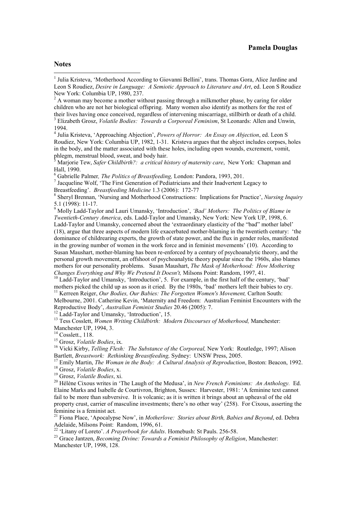# **Pamela Douglas**

# Notes

-

 $2A$  woman may become a mother without passing through a milkmother phase, by caring for older children who are not her biological offspring. Many women also identify as mothers for the rest of their lives having once conceived, regardless of intervening miscarriage, stillbirth or death of a child. <sup>3</sup> Elizabeth Grosz, *Volatile Bodies: Towards a Corporeal Feminism*, St Leonards: Allen and Unwin,

1994.

4 Julia Kristeva, 'Approaching Abjection', *Powers of Horror: An Essay on Abjection*, ed. Leon S Roudiez, New York: Columbia UP, 1982, 1-31. Kristeva argues that the abject includes corpses, holes in the body, and the matter associated with these holes, including open wounds, excrement, vomit, phlegm, menstrual blood, sweat, and body hair.

5 Marjorie Tew, *Safer Childbirth?: a critical history of maternity care*, New York: Chapman and Hall, 1990.

6 Gabrielle Palmer*, The Politics of Breastfeeding,* London: Pandora, 1993, 201.

 $<sup>7</sup>$  Jacqueline Wolf, 'The First Generation of Pediatricians and their Inadvertent Legacy to</sup> Breastfeeding'. *Breastfeeding Medicine* 1.3 (2006): 172-77

<sup>8</sup> Sheryl Brennan, 'Nursing and Motherhood Constructions: Implications for Practice', *Nursing Inquiry* 5.1 (1998): 11-17.

9 Molly Ladd-Taylor and Lauri Umansky, 'Introduction', *'Bad' Mothers: The Politics of Blame in Twentieth-Century America*, eds. Ladd-Taylor and Umansky, New York: New York UP, 1998, 6. Ladd-Taylor and Umansky, concerned about the 'extraordinary elasticity of the "bad" mother label' (18), argue that three aspects of modern life exacerbated mother-blaming in the twentieth century: 'the dominance of childrearing experts, the growth of state power, and the flux in gender roles, manifested in the growing number of women in the work force and in feminist movements' (10). According to Susan Maushart, mother-blaming has been re-enforced by a century of psychoanalytic theory, and the personal growth movement, an offshoot of psychoanalytic theory popular since the 1960s, also blames mothers for our personality problems. Susan Maushart, *The Mask of Motherhood: How Mothering Changes Everything and Why We Pretend It Doesn't,* Milsons Point: Random, 1997, 41.

<sup>10</sup> Ladd-Taylor and Umansky, 'Introduction', 5. For example, in the first half of the century, 'bad' mothers picked the child up as soon as it cried. By the 1980s, 'bad' mothers left their babies to cry. <sup>11</sup> Kerreen Reiger, Our Bodies, Our Babies: The Forgotten Women's Movement, Carlton South:

Melbourne, 2001. Catherine Kevin, 'Maternity and Freedom: Australian Feminist Encounters with the Reproductive Body', *Australian Feminist Studies* 20.46 (2005): 7.

 $12$  Ladd-Taylor and Umansky, 'Introduction', 15.

<sup>13</sup> Tess Cosslett, Women Writing Childbirth: Modern Discourses of Motherhood, Manchester: Manchester UP, 1994, 3.

<sup>14</sup> Cosslett., 118.

<sup>15</sup> Grosz, *Volatile Bodies*, ix.

<sup>16</sup> Vicki Kirby, *Telling Flesh: The Substance of the Corporeal*, New York: Routledge, 1997; Alison Bartlett, *Breastwork: Rethinking Breastfeeding,* Sydney: UNSW Press, 2005.

<sup>17</sup> Emily Martin, *The Woman in the Body: A Cultural Analysis of Reproduction*, Boston: Beacon, 1992. <sup>18</sup> Grosz, *Volatile Bodies*, x.

<sup>19</sup> Grosz, *Volatile Bodies*, xi.

<sup>20</sup> Hélène Cixous writes in 'The Laugh of the Medusa', in *New French Feminisms: An Anthology.* Ed. Elaine Marks and Isabelle de Courtivron, Brighton, Sussex: Harvester, 1981: 'A feminine text cannot fail to be more than subversive. It is volcanic; as it is written it brings about an upheaval of the old property crust, carrier of masculine investments; there's no other way' (258). For Cixous, asserting the feminine is a feminist act.

<sup>21</sup> Fiona Place, 'Apocalypse Now', in *Motherlove: Stories about Birth, Babies and Beyond*, ed. Debra Adelaide, Milsons Point: Random, 1996, 61.

<sup>22</sup> 'Litany of Loreto'. *A Prayerbook for Adults*. Homebush: St Pauls. 256-58.

<sup>23</sup> Grace Jantzen, *Becoming Divine: Towards a Feminist Philosophy of Religion*, Manchester: Manchester UP, 1998, 128.

<sup>&</sup>lt;sup>1</sup> Julia Kristeva, 'Motherhood According to Giovanni Bellini', trans. Thomas Gora, Alice Jardine and Leon S Roudiez, *Desire in Language: A Semiotic Approach to Literature and Art*, ed. Leon S Roudiez New York: Columbia UP, 1980, 237.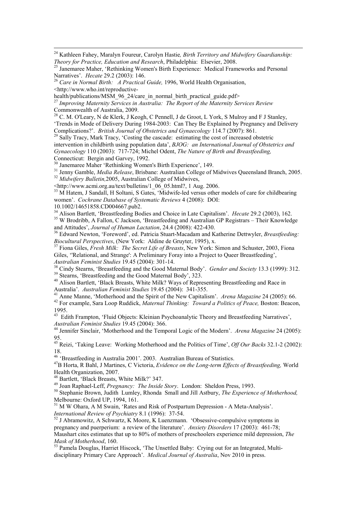<sup>24</sup> Kathleen Fahey, Maralyn Foureur, Carolyn Hastie*, Birth Territory and Midwifery Guardianship: Theory for Practice, Education and Research*, Philadelphia: Elsevier, 2008.

<sup>26</sup> *Care in Normal Birth: A Practical Guide,* 1996, World Health Organisation,

<http://www.who.int/reproductive-

<u>.</u>

health/publications/MSM\_96\_24/care\_in\_normal\_birth\_practical\_guide.pdf> <sup>27</sup> *Improving Maternity Services in Australia: The Report of the Maternity Services Review*  Commonwealth of Australia, 2009.

<sup>28</sup> C. M. O'Leary, N de Klerk, J Keogh, C Pennell, J de Groot, L York, S Mulroy and F J Stanley, 'Trends in Mode of Delivery During 1984-2003: Can They Be Explained by Pregnancy and Delivery Complications?'. *British Journal of Obstetrics and Gynaecology* 114.7 (2007): 861.

<sup>29</sup> Sally Tracy, Mark Tracy, 'Costing the cascade: estimating the cost of increased obstetric intervention in childbirth using population data', *BJOG: an International Journal of Obstetrics and Gynaecology* 110 (2003): 717-724; Michel Odent, *The Nature of Birth and Breastfeeding*, Connecticut: Bergin and Garvey, 1992.

<sup>30</sup> Janemaree Maher 'Rethinking Women's Birth Experience', 149.

<sup>31</sup> Jenny Gamble, *Media Release*, Brisbane: Australian College of Midwives Queensland Branch, 2005. <sup>32</sup> Midwifery Bulletin, 2005, Australian College of Midwives,

<http://www.acmi.org.au/text/bulletins/1\_06\_05.html?, 1 Aug. 2006.

<sup>33</sup> M Hatem, J Sandall, H Soltani, S Gates, 'Midwife-led versus other models of care for childbearing women'. *Cochrane Database of Systematic Reviews* 4 (2008): DOI:

10.1002/14651858.CD004667.pub2.

<sup>34</sup> Alison Bartlett, 'Breastfeeding Bodies and Choice in Late Capitalism'. *Hecate* 29.2 (2003), 162.

<sup>35</sup> W Brodribb, A Fallon, C Jackson, 'Breastfeeding and Australian GP Registrars – Their Knowledge and Attitudes', *Journal of Human Lactation*, 24.4 (2008): 422-430.

<sup>36</sup> Edward Newton, 'Foreword', ed. Patricia Stuart-Macadam and Katherine Dettwyler, *Breastfeeding: Biocultural Perspectives*, (New York: Aldine de Gruyter, 1995), x.

<sup>37</sup> Fiona Giles, *Fresh Milk: The Secret Life of Breasts*, New York: Simon and Schuster, 2003, Fiona Giles, ''Relational, and Strange': A Preliminary Foray into a Project to Queer Breastfeeding', *Australian Feminist Studies* 19.45 (2004): 301-14.

<sup>38</sup> Cindy Stearns, 'Breastfeeding and the Good Maternal Body'. *Gender and Society* 13.3 (1999): 312. <sup>39</sup> Stearns, 'Breastfeeding and the Good Maternal Body', 323.

<sup>40</sup> Alison Bartlett, 'Black Breasts, White Milk? Ways of Representing Breastfeeding and Race in Australia'. *Australian Feminist Studies* 19.45 (2004): 341-355.

<sup>41</sup> Anne Manne, 'Motherhood and the Spirit of the New Capitalism'. *Arena Magazine* 24 (2005): 66.

<sup>42</sup> For example, Sara Loop Ruddick, *Maternal Thinking: Toward a Politics of Peace,* Boston: Beacon, 1995.

<sup>43</sup> Edith Frampton, 'Fluid Objects: Kleinian Psychoanalytic Theory and Breastfeeding Narratives', *Australian Feminist Studies* 19.45 (2004): 366.

<sup>44</sup> Jennifer Sinclair, 'Motherhood and the Temporal Logic of the Modern'. *Arena Magazine* 24 (2005): 95.

<sup>45</sup> Reizi, 'Taking Leave: Working Motherhood and the Politics of Time', *Off Our Backs* 32.1-2 (2002): 18.

<sup>46</sup> 'Breastfeeding in Australia 2001'. 2003. Australian Bureau of Statistics.

<sup>47</sup>B Horta, R Bahl, J Martines, C Victoria, *Evidence on the Long-term Effects of Breastfeeding,* World Health Organization, 2007.

<sup>48</sup> Bartlett, 'Black Breasts, White Milk?' 347.

<sup>49</sup> Joan Raphael-Leff, *Pregnancy: The Inside Story*. London: Sheldon Press, 1993.

<sup>50</sup> Stephanie Brown, Judith Lumley, Rhonda Small and Jill Astbury, *The Experience of Motherhood,*  Melbourne: Oxford UP, 1994, 161.

<sup>51</sup> M W Ohara, A M Swain, 'Rates and Risk of Postpartum Depression - A Meta-Analysis'. *International Review of Psychiatry* 8.1 (1996): 37-54.

<sup>52</sup> J Abramowitz, A Schwartz, K Moore, K Luenzmann. 'Obsessive-compulsive symptoms in pregnancy and puerperium: a review of the literature'. *Anxiety Disorders* 17 (2003): 461-78; Maushart cites estimates that up to 80% of mothers of preschoolers experience mild depression, *The Mask of Motherhood*, 160.

<sup>53</sup> Pamela Douglas, Harriet Hiscock, 'The Unsettled Baby: Crying out for an Integrated, Multidisciplinary Primary Care Approach'. *Medical Journal of Australia*, Nov 2010 in press.

<sup>&</sup>lt;sup>25</sup> Janemaree Maher, 'Rethinking Women's Birth Experience: Medical Frameworks and Personal Narratives'. *Hecate* 29.2 (2003): 146.